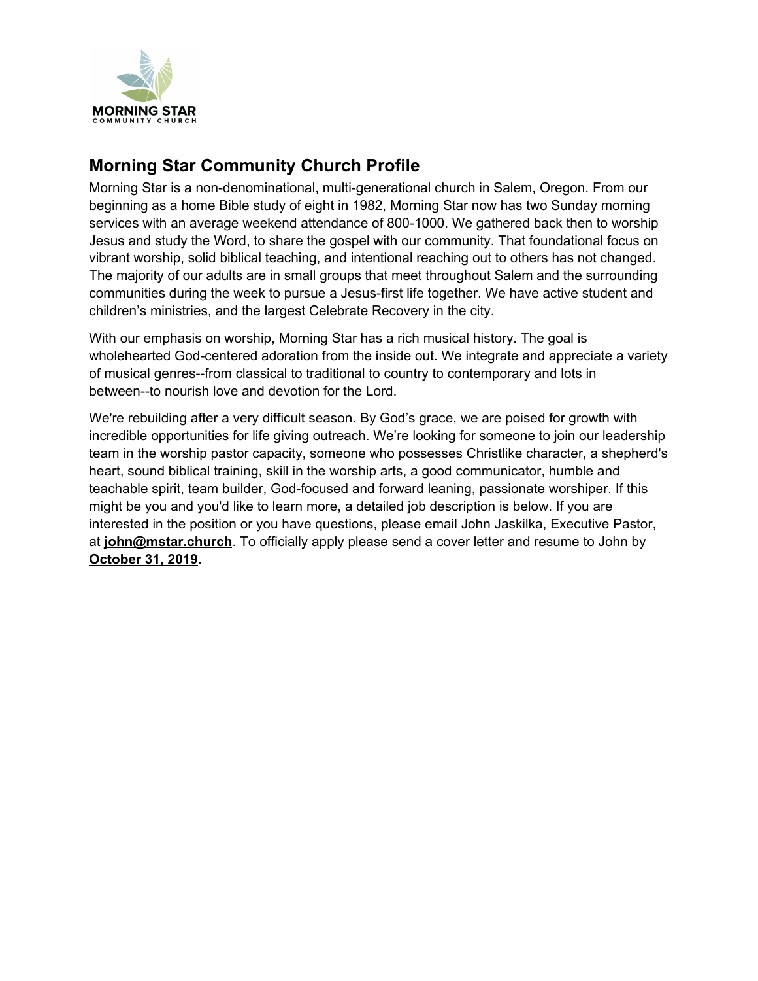

## **Morning Star Community Church Profile**

Morning Star is a non-denominational, multi-generational church in Salem, Oregon. From our beginning as a home Bible study of eight in 1982, Morning Star now has two Sunday morning services with an average weekend attendance of 800-1000. We gathered back then to worship Jesus and study the Word, to share the gospel with our community. That foundational focus on vibrant worship, solid biblical teaching, and intentional reaching out to others has not changed. The majority of our adults are in small groups that meet throughout Salem and the surrounding communities during the week to pursue a Jesus-first life together. We have active student and children's ministries, and the largest Celebrate Recovery in the city.

With our emphasis on worship, Morning Star has a rich musical history. The goal is wholehearted God-centered adoration from the inside out. We integrate and appreciate a variety of musical genres--from classical to traditional to country to contemporary and lots in between--to nourish love and devotion for the Lord.

We're rebuilding after a very difficult season. By God's grace, we are poised for growth with incredible opportunities for life giving outreach. We're looking for someone to join our leadership team in the worship pastor capacity, someone who possesses Christlike character, a shepherd's heart, sound biblical training, skill in the worship arts, a good communicator, humble and teachable spirit, team builder, God-focused and forward leaning, passionate worshiper. If this might be you and you'd like to learn more, a detailed job description is below. If you are interested in the position or you have questions, please email John Jaskilka, Executive Pastor, at **john@mstar.church**. To officially apply please send a cover letter and resume to John by **October 31, 2019**.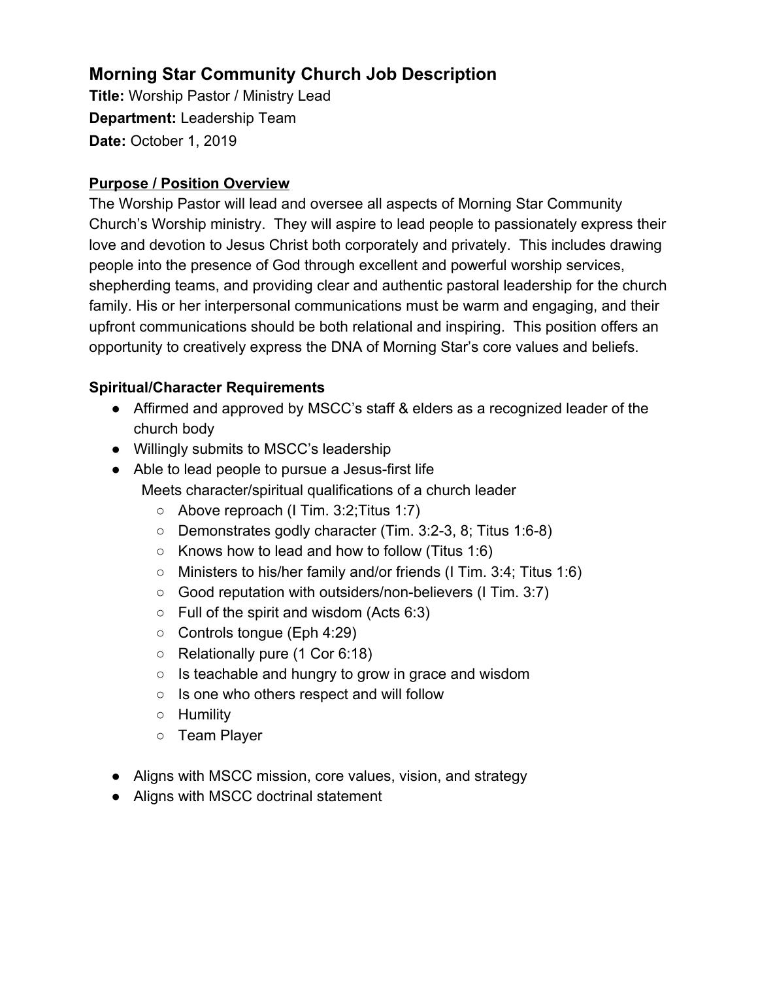# **Morning Star Community Church Job Description**

**Title:** Worship Pastor / Ministry Lead **Department:** Leadership Team **Date:** October 1, 2019

### **Purpose / Position Overview**

The Worship Pastor will lead and oversee all aspects of Morning Star Community Church's Worship ministry. They will aspire to lead people to passionately express their love and devotion to Jesus Christ both corporately and privately. This includes drawing people into the presence of God through excellent and powerful worship services, shepherding teams, and providing clear and authentic pastoral leadership for the church family. His or her interpersonal communications must be warm and engaging, and their upfront communications should be both relational and inspiring. This position offers an opportunity to creatively express the DNA of Morning Star's core values and beliefs.

## **Spiritual/Character Requirements**

- Affirmed and approved by MSCC's staff & elders as a recognized leader of the church body
- Willingly submits to MSCC's leadership
- Able to lead people to pursue a Jesus-first life
	- Meets character/spiritual qualifications of a church leader
		- Above reproach (I Tim. 3:2;Titus 1:7)
		- Demonstrates godly character (Tim. 3:2-3, 8; Titus 1:6-8)
		- $\circ$  Knows how to lead and how to follow (Titus 1:6)
		- Ministers to his/her family and/or friends (I Tim. 3:4; Titus 1:6)
		- Good reputation with outsiders/non-believers (I Tim. 3:7)
		- $\circ$  Full of the spirit and wisdom (Acts 6:3)
		- Controls tongue (Eph 4:29)
		- Relationally pure (1 Cor 6:18)
		- Is teachable and hungry to grow in grace and wisdom
		- Is one who others respect and will follow
		- Humility
		- Team Player
- Aligns with MSCC mission, core values, vision, and strategy
- Aligns with MSCC doctrinal statement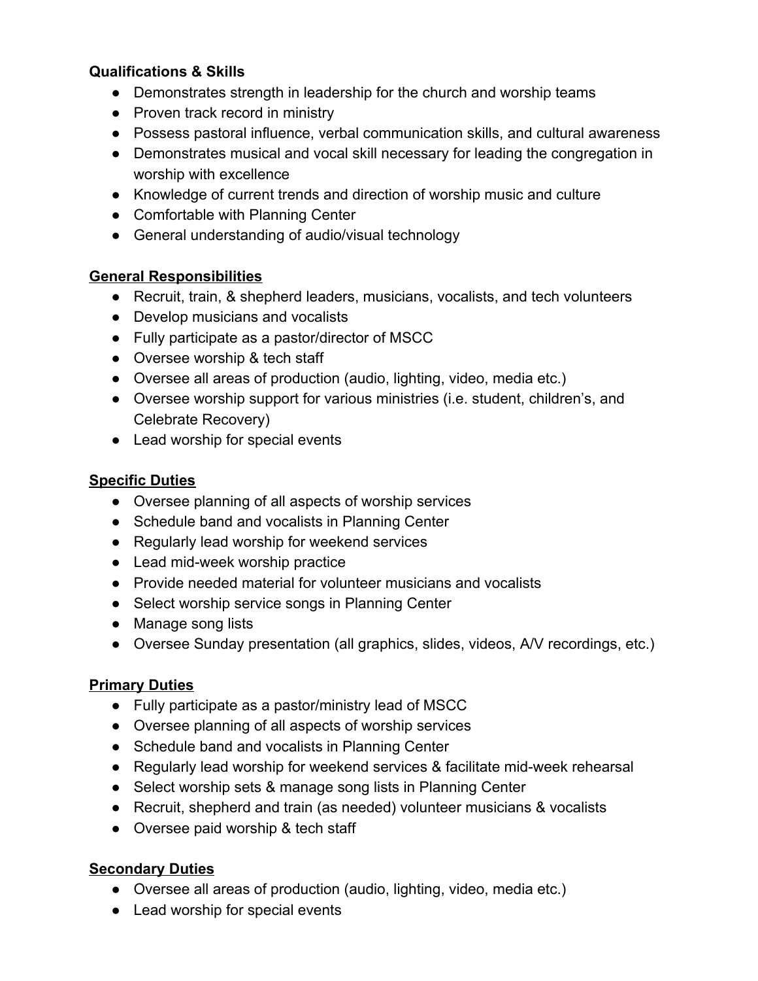#### **Qualifications & Skills**

- Demonstrates strength in leadership for the church and worship teams
- Proven track record in ministry
- Possess pastoral influence, verbal communication skills, and cultural awareness
- Demonstrates musical and vocal skill necessary for leading the congregation in worship with excellence
- Knowledge of current trends and direction of worship music and culture
- Comfortable with Planning Center
- General understanding of audio/visual technology

#### **General Responsibilities**

- Recruit, train, & shepherd leaders, musicians, vocalists, and tech volunteers
- Develop musicians and vocalists
- Fully participate as a pastor/director of MSCC
- Oversee worship & tech staff
- Oversee all areas of production (audio, lighting, video, media etc.)
- Oversee worship support for various ministries (i.e. student, children's, and Celebrate Recovery)
- Lead worship for special events

#### **Specific Duties**

- Oversee planning of all aspects of worship services
- Schedule band and vocalists in Planning Center
- Regularly lead worship for weekend services
- Lead mid-week worship practice
- Provide needed material for volunteer musicians and vocalists
- Select worship service songs in Planning Center
- Manage song lists
- Oversee Sunday presentation (all graphics, slides, videos, A/V recordings, etc.)

#### **Primary Duties**

- Fully participate as a pastor/ministry lead of MSCC
- Oversee planning of all aspects of worship services
- Schedule band and vocalists in Planning Center
- Regularly lead worship for weekend services & facilitate mid-week rehearsal
- Select worship sets & manage song lists in Planning Center
- Recruit, shepherd and train (as needed) volunteer musicians & vocalists
- Oversee paid worship & tech staff

#### **Secondary Duties**

- Oversee all areas of production (audio, lighting, video, media etc.)
- Lead worship for special events